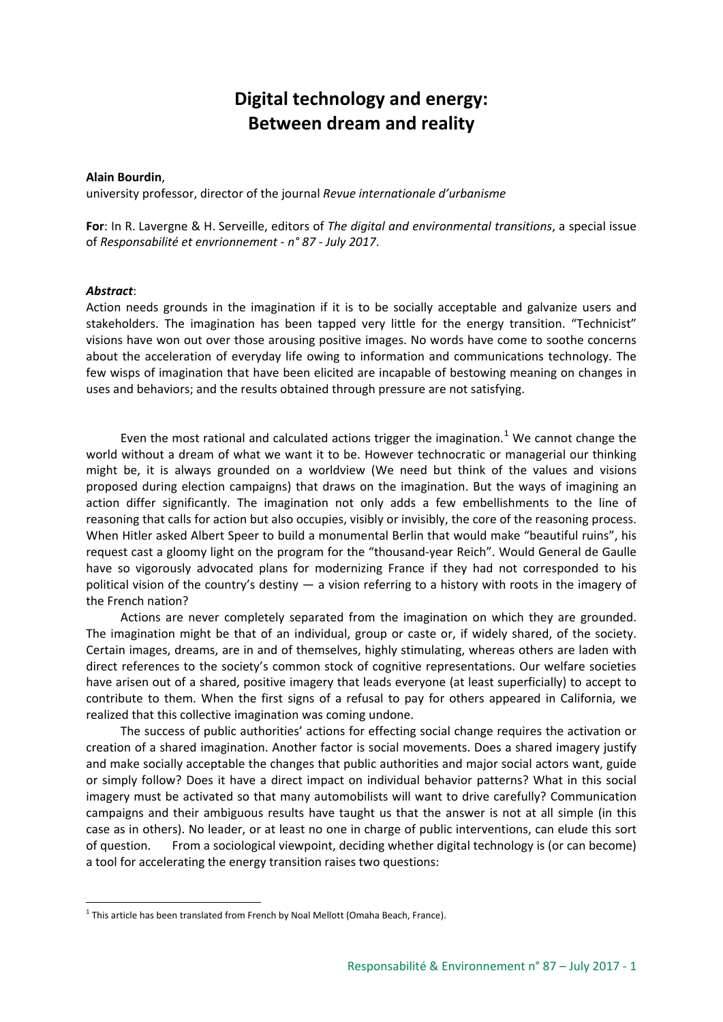## **Digital technology and energy: Between dream and reality**

## **Alain Bourdin**,

university professor, director of the journal *Revue internationale d'urbanisme*

**For**: In R. Lavergne & H. Serveille, editors of *The digital and environmental transitions*, a special issue of *Responsabilité et envrionnement - n° 87 - July 2017*.

## *Abstract*:

Action needs grounds in the imagination if it is to be socially acceptable and galvanize users and stakeholders. The imagination has been tapped very little for the energy transition. "Technicist" visions have won out over those arousing positive images. No words have come to soothe concerns about the acceleration of everyday life owing to information and communications technology. The few wisps of imagination that have been elicited are incapable of bestowing meaning on changes in uses and behaviors; and the results obtained through pressure are not satisfying.

Even the most rational and calculated actions trigger the imagination.<sup>[1](#page-0-0)</sup> We cannot change the world without a dream of what we want it to be. However technocratic or managerial our thinking might be, it is always grounded on a worldview (We need but think of the values and visions proposed during election campaigns) that draws on the imagination. But the ways of imagining an action differ significantly. The imagination not only adds a few embellishments to the line of reasoning that calls for action but also occupies, visibly or invisibly, the core of the reasoning process. When Hitler asked Albert Speer to build a monumental Berlin that would make "beautiful ruins", his request cast a gloomy light on the program for the "thousand-year Reich". Would General de Gaulle have so vigorously advocated plans for modernizing France if they had not corresponded to his political vision of the country's destiny — a vision referring to a history with roots in the imagery of the French nation?

Actions are never completely separated from the imagination on which they are grounded. The imagination might be that of an individual, group or caste or, if widely shared, of the society. Certain images, dreams, are in and of themselves, highly stimulating, whereas others are laden with direct references to the society's common stock of cognitive representations. Our welfare societies have arisen out of a shared, positive imagery that leads everyone (at least superficially) to accept to contribute to them. When the first signs of a refusal to pay for others appeared in California, we realized that this collective imagination was coming undone.

The success of public authorities' actions for effecting social change requires the activation or creation of a shared imagination. Another factor is social movements. Does a shared imagery justify and make socially acceptable the changes that public authorities and major social actors want, guide or simply follow? Does it have a direct impact on individual behavior patterns? What in this social imagery must be activated so that many automobilists will want to drive carefully? Communication campaigns and their ambiguous results have taught us that the answer is not at all simple (in this case as in others). No leader, or at least no one in charge of public interventions, can elude this sort of question. From a sociological viewpoint, deciding whether digital technology is (or can become) a tool for accelerating the energy transition raises two questions:

<span id="page-0-0"></span> $1$  This article has been translated from French by Noal Mellott (Omaha Beach, France).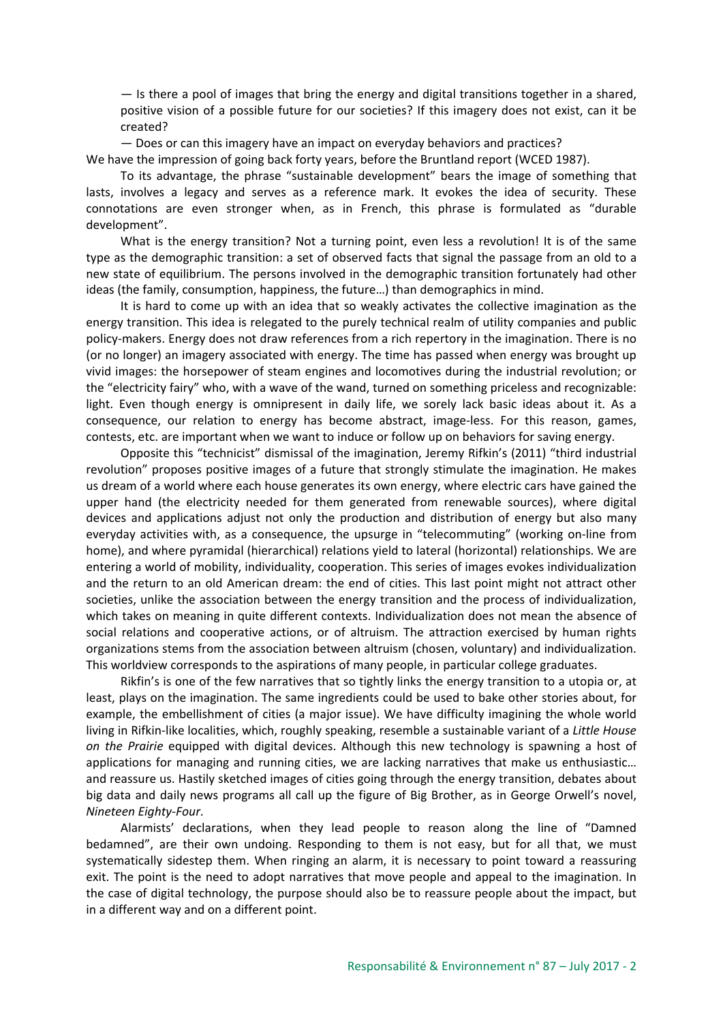$-$  Is there a pool of images that bring the energy and digital transitions together in a shared, positive vision of a possible future for our societies? If this imagery does not exist, can it be created?

— Does or can this imagery have an impact on everyday behaviors and practices?

We have the impression of going back forty years, before the Bruntland report (WCED 1987).

To its advantage, the phrase "sustainable development" bears the image of something that lasts, involves a legacy and serves as a reference mark. It evokes the idea of security. These connotations are even stronger when, as in French, this phrase is formulated as "durable development".

What is the energy transition? Not a turning point, even less a revolution! It is of the same type as the demographic transition: a set of observed facts that signal the passage from an old to a new state of equilibrium. The persons involved in the demographic transition fortunately had other ideas (the family, consumption, happiness, the future…) than demographics in mind.

It is hard to come up with an idea that so weakly activates the collective imagination as the energy transition. This idea is relegated to the purely technical realm of utility companies and public policy-makers. Energy does not draw references from a rich repertory in the imagination. There is no (or no longer) an imagery associated with energy. The time has passed when energy was brought up vivid images: the horsepower of steam engines and locomotives during the industrial revolution; or the "electricity fairy" who, with a wave of the wand, turned on something priceless and recognizable: light. Even though energy is omnipresent in daily life, we sorely lack basic ideas about it. As a consequence, our relation to energy has become abstract, image-less. For this reason, games, contests, etc. are important when we want to induce or follow up on behaviors for saving energy.

Opposite this "technicist" dismissal of the imagination, Jeremy Rifkin's (2011) "third industrial revolution" proposes positive images of a future that strongly stimulate the imagination. He makes us dream of a world where each house generates its own energy, where electric cars have gained the upper hand (the electricity needed for them generated from renewable sources), where digital devices and applications adjust not only the production and distribution of energy but also many everyday activities with, as a consequence, the upsurge in "telecommuting" (working on-line from home), and where pyramidal (hierarchical) relations yield to lateral (horizontal) relationships. We are entering a world of mobility, individuality, cooperation. This series of images evokes individualization and the return to an old American dream: the end of cities. This last point might not attract other societies, unlike the association between the energy transition and the process of individualization, which takes on meaning in quite different contexts. Individualization does not mean the absence of social relations and cooperative actions, or of altruism. The attraction exercised by human rights organizations stems from the association between altruism (chosen, voluntary) and individualization. This worldview corresponds to the aspirations of many people, in particular college graduates.

Rikfin's is one of the few narratives that so tightly links the energy transition to a utopia or, at least, plays on the imagination. The same ingredients could be used to bake other stories about, for example, the embellishment of cities (a major issue). We have difficulty imagining the whole world living in Rifkin-like localities, which, roughly speaking, resemble a sustainable variant of a *Little House on the Prairie* equipped with digital devices. Although this new technology is spawning a host of applications for managing and running cities, we are lacking narratives that make us enthusiastic… and reassure us. Hastily sketched images of cities going through the energy transition, debates about big data and daily news programs all call up the figure of Big Brother, as in George Orwell's novel, *Nineteen Eighty-Four*.

Alarmists' declarations, when they lead people to reason along the line of "Damned bedamned", are their own undoing. Responding to them is not easy, but for all that, we must systematically sidestep them. When ringing an alarm, it is necessary to point toward a reassuring exit. The point is the need to adopt narratives that move people and appeal to the imagination. In the case of digital technology, the purpose should also be to reassure people about the impact, but in a different way and on a different point.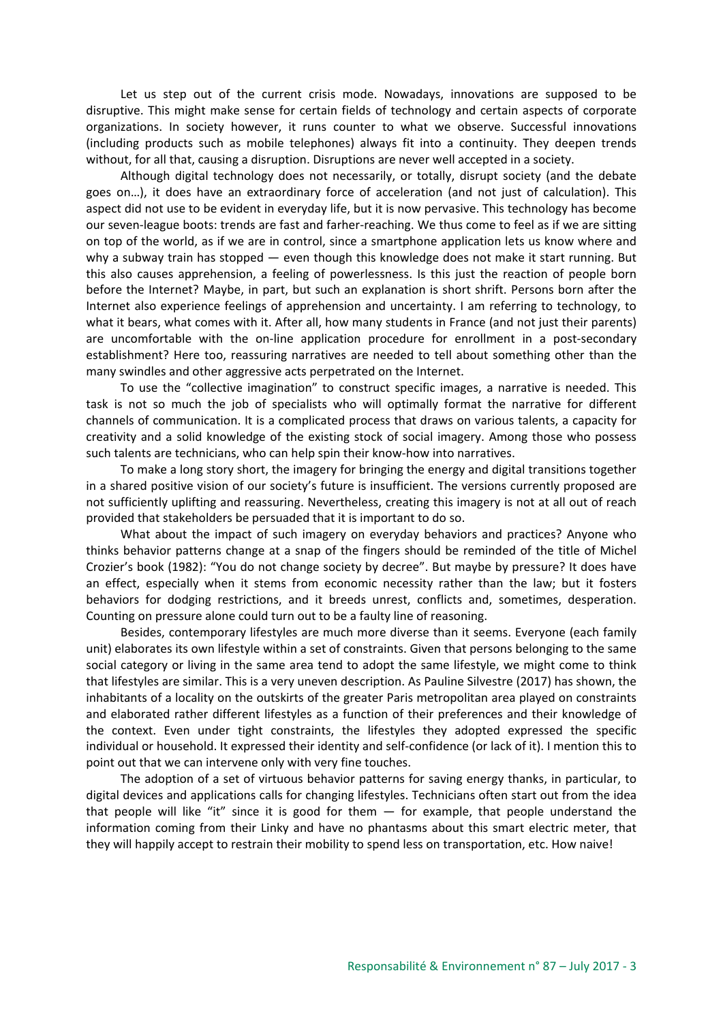Let us step out of the current crisis mode. Nowadays, innovations are supposed to be disruptive. This might make sense for certain fields of technology and certain aspects of corporate organizations. In society however, it runs counter to what we observe. Successful innovations (including products such as mobile telephones) always fit into a continuity. They deepen trends without, for all that, causing a disruption. Disruptions are never well accepted in a society.

Although digital technology does not necessarily, or totally, disrupt society (and the debate goes on…), it does have an extraordinary force of acceleration (and not just of calculation). This aspect did not use to be evident in everyday life, but it is now pervasive. This technology has become our seven-league boots: trends are fast and farher-reaching. We thus come to feel as if we are sitting on top of the world, as if we are in control, since a smartphone application lets us know where and why a subway train has stopped — even though this knowledge does not make it start running. But this also causes apprehension, a feeling of powerlessness. Is this just the reaction of people born before the Internet? Maybe, in part, but such an explanation is short shrift. Persons born after the Internet also experience feelings of apprehension and uncertainty. I am referring to technology, to what it bears, what comes with it. After all, how many students in France (and not just their parents) are uncomfortable with the on-line application procedure for enrollment in a post-secondary establishment? Here too, reassuring narratives are needed to tell about something other than the many swindles and other aggressive acts perpetrated on the Internet.

To use the "collective imagination" to construct specific images, a narrative is needed. This task is not so much the job of specialists who will optimally format the narrative for different channels of communication. It is a complicated process that draws on various talents, a capacity for creativity and a solid knowledge of the existing stock of social imagery. Among those who possess such talents are technicians, who can help spin their know-how into narratives.

To make a long story short, the imagery for bringing the energy and digital transitions together in a shared positive vision of our society's future is insufficient. The versions currently proposed are not sufficiently uplifting and reassuring. Nevertheless, creating this imagery is not at all out of reach provided that stakeholders be persuaded that it is important to do so.

What about the impact of such imagery on everyday behaviors and practices? Anyone who thinks behavior patterns change at a snap of the fingers should be reminded of the title of Michel Crozier's book (1982): "You do not change society by decree". But maybe by pressure? It does have an effect, especially when it stems from economic necessity rather than the law; but it fosters behaviors for dodging restrictions, and it breeds unrest, conflicts and, sometimes, desperation. Counting on pressure alone could turn out to be a faulty line of reasoning.

Besides, contemporary lifestyles are much more diverse than it seems. Everyone (each family unit) elaborates its own lifestyle within a set of constraints. Given that persons belonging to the same social category or living in the same area tend to adopt the same lifestyle, we might come to think that lifestyles are similar. This is a very uneven description. As Pauline Silvestre (2017) has shown, the inhabitants of a locality on the outskirts of the greater Paris metropolitan area played on constraints and elaborated rather different lifestyles as a function of their preferences and their knowledge of the context. Even under tight constraints, the lifestyles they adopted expressed the specific individual or household. It expressed their identity and self-confidence (or lack of it). I mention this to point out that we can intervene only with very fine touches.

The adoption of a set of virtuous behavior patterns for saving energy thanks, in particular, to digital devices and applications calls for changing lifestyles. Technicians often start out from the idea that people will like "it" since it is good for them  $-$  for example, that people understand the information coming from their Linky and have no phantasms about this smart electric meter, that they will happily accept to restrain their mobility to spend less on transportation, etc. How naive!